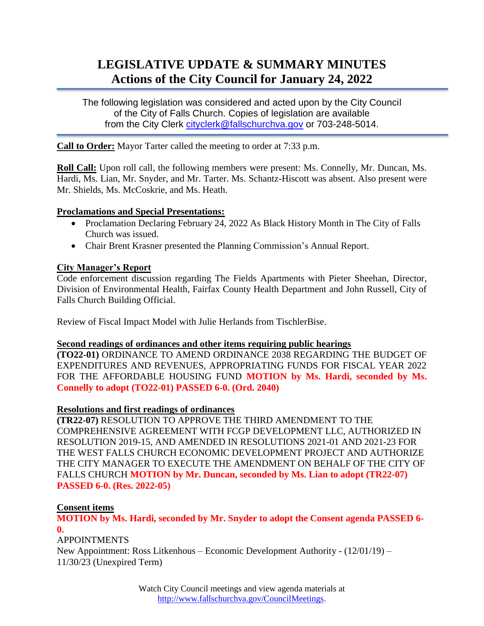# **LEGISLATIVE UPDATE & SUMMARY MINUTES Actions of the City Council for January 24, 2022**

The following legislation was considered and acted upon by the City Council of the City of Falls Church. Copies of legislation are available from the City Clerk [cityclerk@fallschurchva.gov](mailto:cityclerk@fallschurchva.gov) or 703-248-5014.

**Call to Order:** Mayor Tarter called the meeting to order at 7:33 p.m.

**Roll Call:** Upon roll call, the following members were present: Ms. Connelly, Mr. Duncan, Ms. Hardi, Ms. Lian, Mr. Snyder, and Mr. Tarter. Ms. Schantz-Hiscott was absent. Also present were Mr. Shields, Ms. McCoskrie, and Ms. Heath.

## **Proclamations and Special Presentations:**

- Proclamation Declaring February 24, 2022 As Black History Month in The City of Falls Church was issued.
- Chair Brent Krasner presented the Planning Commission's Annual Report.

## **City Manager's Report**

Code enforcement discussion regarding The Fields Apartments with Pieter Sheehan, Director, Division of Environmental Health, Fairfax County Health Department and John Russell, City of Falls Church Building Official.

Review of Fiscal Impact Model with Julie Herlands from TischlerBise.

#### **Second readings of ordinances and other items requiring public hearings**

**(TO22-01)** ORDINANCE TO AMEND ORDINANCE 2038 REGARDING THE BUDGET OF EXPENDITURES AND REVENUES, APPROPRIATING FUNDS FOR FISCAL YEAR 2022 FOR THE AFFORDABLE HOUSING FUND **MOTION by Ms. Hardi, seconded by Ms. Connelly to adopt (TO22-01) PASSED 6-0. (Ord. 2040)**

#### **Resolutions and first readings of ordinances**

**(TR22-07)** RESOLUTION TO APPROVE THE THIRD AMENDMENT TO THE COMPREHENSIVE AGREEMENT WITH FCGP DEVELOPMENT LLC, AUTHORIZED IN RESOLUTION 2019-15, AND AMENDED IN RESOLUTIONS 2021-01 AND 2021-23 FOR THE WEST FALLS CHURCH ECONOMIC DEVELOPMENT PROJECT AND AUTHORIZE THE CITY MANAGER TO EXECUTE THE AMENDMENT ON BEHALF OF THE CITY OF FALLS CHURCH **MOTION by Mr. Duncan, seconded by Ms. Lian to adopt (TR22-07) PASSED 6-0. (Res. 2022-05)**

#### **Consent items**

**MOTION by Ms. Hardi, seconded by Mr. Snyder to adopt the Consent agenda PASSED 6- 0.**

APPOINTMENTS

New Appointment: Ross Litkenhous – Economic Development Authority - (12/01/19) – 11/30/23 (Unexpired Term)